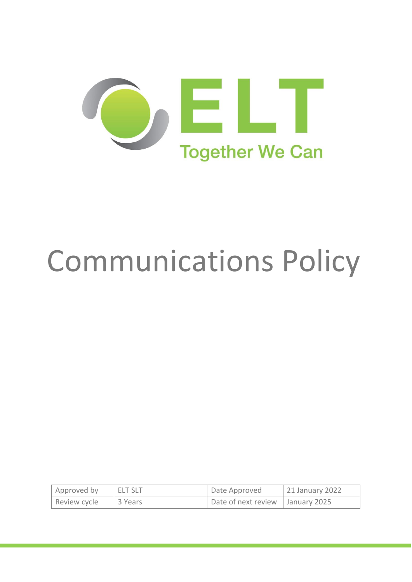

# Communications Policy

| Approved by  | <b>ELT SLT</b> | Date Approved                      | 21 January 2022 |
|--------------|----------------|------------------------------------|-----------------|
| Review cycle | l 3 Years      | Date of next review   January 2025 |                 |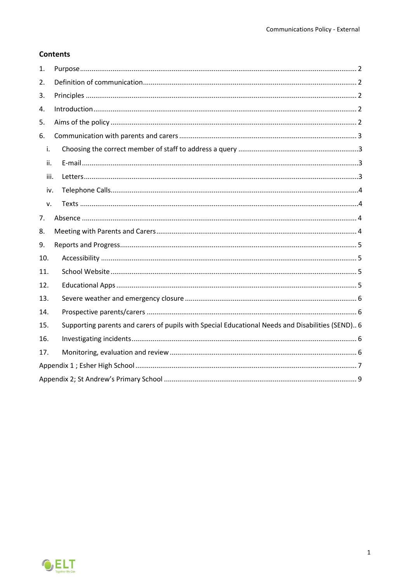## **Contents**

| 1.   |                                                                                                  |  |
|------|--------------------------------------------------------------------------------------------------|--|
| 2.   |                                                                                                  |  |
| 3.   |                                                                                                  |  |
| 4.   |                                                                                                  |  |
| 5.   |                                                                                                  |  |
| 6.   |                                                                                                  |  |
| i.   |                                                                                                  |  |
| ii.  |                                                                                                  |  |
| iii. |                                                                                                  |  |
| iv.  |                                                                                                  |  |
| ν.   |                                                                                                  |  |
| 7.   |                                                                                                  |  |
| 8.   |                                                                                                  |  |
| 9.   |                                                                                                  |  |
| 10.  |                                                                                                  |  |
| 11.  |                                                                                                  |  |
| 12.  |                                                                                                  |  |
| 13.  |                                                                                                  |  |
| 14.  |                                                                                                  |  |
| 15.  | Supporting parents and carers of pupils with Special Educational Needs and Disabilities (SEND) 6 |  |
| 16.  |                                                                                                  |  |
| 17.  |                                                                                                  |  |
|      |                                                                                                  |  |
|      |                                                                                                  |  |

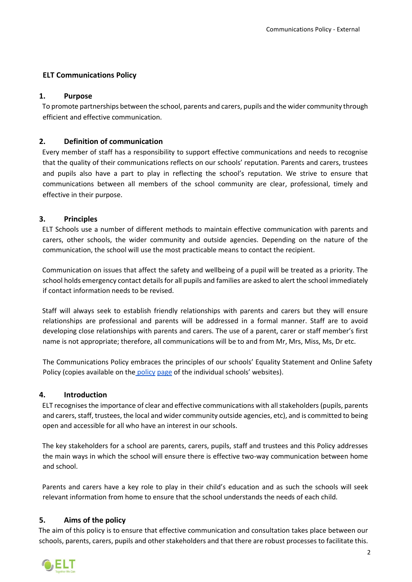## **ELT Communications Policy**

## <span id="page-2-0"></span>**1. Purpose**

To promote partnerships between the school, parents and carers, pupils and the wider community through efficient and effective communication.

## <span id="page-2-1"></span>**2. Definition of communication**

Every member of staff has a responsibility to support effective communications and needs to recognise that the quality of their communications reflects on our schools' reputation. Parents and carers, trustees and pupils also have a part to play in reflecting the school's reputation. We strive to ensure that communications between all members of the school community are clear, professional, timely and effective in their purpose.

## <span id="page-2-2"></span>**3. Principles**

ELT Schools use a number of different methods to maintain effective communication with parents and carers, other schools, the wider community and outside agencies. Depending on the nature of the communication, the school will use the most practicable means to contact the recipient.

Communication on issues that affect the safety and wellbeing of a pupil will be treated as a priority. The school holds emergency contact details for all pupils and families are asked to alert the school immediately if contact information needs to be revised.

Staff will always seek to establish friendly relationships with parents and carers but they will ensure relationships are professional and parents will be addressed in a formal manner. Staff are to avoid developing close relationships with parents and carers. The use of a parent, carer or staff member's first name is not appropriate; therefore, all communications will be to and from Mr, Mrs, Miss, Ms, Dr etc.

The Communications Policy embraces the principles of our schools' Equality Statement and Online Safety Policy (copies available on the policy page of the individual schools' websites).

#### <span id="page-2-3"></span>**4. Introduction**

ELT recognises the importance of clear and effective communications with all stakeholders (pupils, parents and carers, staff, trustees, the local and wider community outside agencies, etc), and is committed to being open and accessible for all who have an interest in our schools.

The key stakeholders for a school are parents, carers, pupils, staff and trustees and this Policy addresses the main ways in which the school will ensure there is effective two-way communication between home and school.

Parents and carers have a key role to play in their child's education and as such the schools will seek relevant information from home to ensure that the school understands the needs of each child.

## <span id="page-2-4"></span>**5. Aims of the policy**

The aim of this policy is to ensure that effective communication and consultation takes place between our schools, parents, carers, pupils and other stakeholders and that there are robust processes to facilitate this.

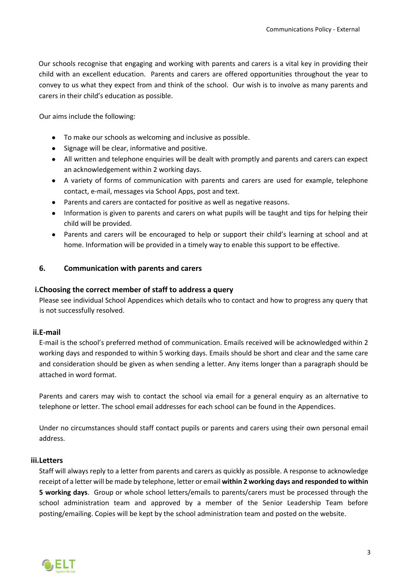Our schools recognise that engaging and working with parents and carers is a vital key in providing their child with an excellent education. Parents and carers are offered opportunities throughout the year to convey to us what they expect from and think of the school. Our wish is to involve as many parents and carers in their child's education as possible.

Our aims include the following:

- To make our schools as welcoming and inclusive as possible.
- Signage will be clear, informative and positive.
- All written and telephone enquiries will be dealt with promptly and parents and carers can expect an acknowledgement within 2 working days.
- A variety of forms of communication with parents and carers are used for example, telephone contact, e-mail, messages via School Apps, post and text.
- Parents and carers are contacted for positive as well as negative reasons.
- Information is given to parents and carers on what pupils will be taught and tips for helping their child will be provided.
- Parents and carers will be encouraged to help or support their child's learning at school and at home. Information will be provided in a timely way to enable this support to be effective.

#### <span id="page-3-0"></span>**6. Communication with parents and carers**

#### <span id="page-3-1"></span>**i.Choosing the correct member of staff to address a query**

Please see individual School Appendices which details who to contact and how to progress any query that is not successfully resolved.

#### <span id="page-3-2"></span>**ii.E-mail**

E-mail is the school's preferred method of communication. Emails received will be acknowledged within 2 working days and responded to within 5 working days. Emails should be short and clear and the same care and consideration should be given as when sending a letter. Any items longer than a paragraph should be attached in word format.

Parents and carers may wish to contact the school via email for a general enquiry as an alternative to telephone or letter. The school email addresses for each school can be found in the Appendices.

Under no circumstances should staff contact pupils or parents and carers using their own personal email address.

#### <span id="page-3-3"></span>**iii.Letters**

Staff will always reply to a letter from parents and carers as quickly as possible. A response to acknowledge receipt of a letter will be made by telephone, letter or email **within 2 working days and responded to within 5 working days**. Group or whole school letters/emails to parents/carers must be processed through the school administration team and approved by a member of the Senior Leadership Team before posting/emailing. Copies will be kept by the school administration team and posted on the website.

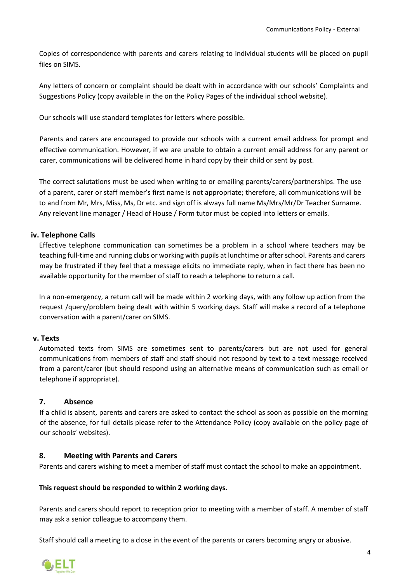Copies of correspondence with parents and carers relating to individual students will be placed on pupil files on SIMS.

Any letters of concern or complaint should be dealt with in accordance with our schools' Complaints and Suggestions Policy (copy available in the on the Policy Pages of the individual school website).

Our schools will use standard templates for letters where possible.

Parents and carers are encouraged to provide our schools with a current email address for prompt and effective communication. However, if we are unable to obtain a current email address for any parent or carer, communications will be delivered home in hard copy by their child or sent by post.

The correct salutations must be used when writing to or emailing parents/carers/partnerships. The use of a parent, carer or staff member's first name is not appropriate; therefore, all communications will be to and from Mr, Mrs, Miss, Ms, Dr etc. and sign off is always full name Ms/Mrs/Mr/Dr Teacher Surname. Any relevant line manager / Head of House / Form tutor must be copied into letters or emails.

## <span id="page-4-0"></span>**iv. Telephone Calls**

Effective telephone communication can sometimes be a problem in a school where teachers may be teaching full-time and running clubs or working with pupils at lunchtime or after school. Parents and carers may be frustrated if they feel that a message elicits no immediate reply, when in fact there has been no available opportunity for the member of staff to reach a telephone to return a call.

In a non-emergency, a return call will be made within 2 working days, with any follow up action from the request /query/problem being dealt with within 5 working days. Staff will make a record of a telephone conversation with a parent/carer on SIMS.

#### <span id="page-4-1"></span>**v. Texts**

Automated texts from SIMS are sometimes sent to parents/carers but are not used for general communications from members of staff and staff should not respond by text to a text message received from a parent/carer (but should respond using an alternative means of communication such as email or telephone if appropriate).

#### <span id="page-4-2"></span>**7. Absence**

If a child is absent, parents and carers are asked to contact the school as soon as possible on the morning of the absence, for full details please refer to the Attendance Policy (copy available on the policy page of our schools' websites).

#### <span id="page-4-3"></span>**8. Meeting with Parents and Carers**

Parents and carers wishing to meet a member of staff must contac**t** the school to make an appointment.

#### **This request should be responded to within 2 working days.**

Parents and carers should report to reception prior to meeting with a member of staff. A member of staff may ask a senior colleague to accompany them.

Staff should call a meeting to a close in the event of the parents or carers becoming angry or abusive.

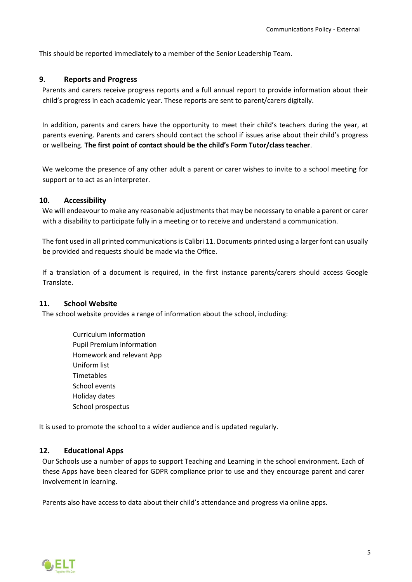This should be reported immediately to a member of the Senior Leadership Team.

#### <span id="page-5-0"></span>**9. Reports and Progress**

Parents and carers receive progress reports and a full annual report to provide information about their child's progress in each academic year. These reports are sent to parent/carers digitally.

In addition, parents and carers have the opportunity to meet their child's teachers during the year, at parents evening. Parents and carers should contact the school if issues arise about their child's progress or wellbeing. **The first point of contact should be the child's Form Tutor/class teacher**.

We welcome the presence of any other adult a parent or carer wishes to invite to a school meeting for support or to act as an interpreter.

#### <span id="page-5-1"></span>**10. Accessibility**

We will endeavour to make any reasonable adjustments that may be necessary to enable a parent or carer with a disability to participate fully in a meeting or to receive and understand a communication.

The font used in all printed communications is Calibri 11. Documents printed using a larger font can usually be provided and requests should be made via the Office.

If a translation of a document is required, in the first instance parents/carers should access Google Translate.

#### <span id="page-5-2"></span>**11. School Website**

The school website provides a range of information about the school, including:

Curriculum information Pupil Premium information Homework and relevant App Uniform list **Timetables** School events Holiday dates School prospectus

It is used to promote the school to a wider audience and is updated regularly.

#### <span id="page-5-3"></span>**12. Educational Apps**

Our Schools use a number of apps to support Teaching and Learning in the school environment. Each of these Apps have been cleared for GDPR compliance prior to use and they encourage parent and carer involvement in learning.

Parents also have access to data about their child's attendance and progress via online apps.

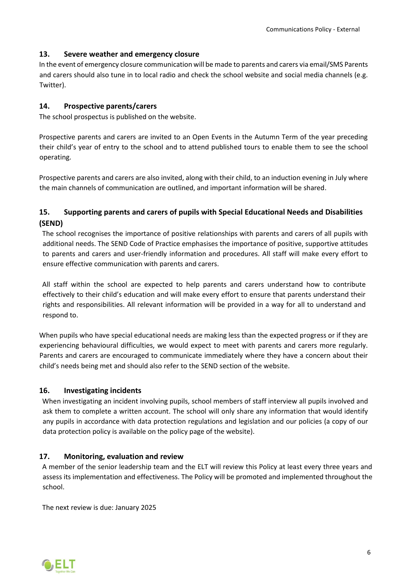#### <span id="page-6-0"></span>**13. Severe weather and emergency closure**

In the event of emergency closure communication will be made to parents and carers via email/SMS Parents and carers should also tune in to local radio and check the school website and social media channels (e.g. Twitter).

## <span id="page-6-1"></span>**14. Prospective parents/carers**

The school prospectus is published on the website.

Prospective parents and carers are invited to an Open Events in the Autumn Term of the year preceding their child's year of entry to the school and to attend published tours to enable them to see the school operating.

Prospective parents and carers are also invited, along with their child, to an induction evening in July where the main channels of communication are outlined, and important information will be shared.

## <span id="page-6-2"></span>**15. Supporting parents and carers of pupils with Special Educational Needs and Disabilities (SEND)**

The school recognises the importance of positive relationships with parents and carers of all pupils with additional needs. The SEND Code of Practice emphasises the importance of positive, supportive attitudes to parents and carers and user-friendly information and procedures. All staff will make every effort to ensure effective communication with parents and carers.

All staff within the school are expected to help parents and carers understand how to contribute effectively to their child's education and will make every effort to ensure that parents understand their rights and responsibilities. All relevant information will be provided in a way for all to understand and respond to.

When pupils who have special educational needs are making less than the expected progress or if they are experiencing behavioural difficulties, we would expect to meet with parents and carers more regularly. Parents and carers are encouraged to communicate immediately where they have a concern about their child's needs being met and should also refer to the SEND section of the website.

## <span id="page-6-3"></span>**16. Investigating incidents**

When investigating an incident involving pupils, school members of staff interview all pupils involved and ask them to complete a written account. The school will only share any information that would identify any pupils in accordance with data protection regulations and legislation and our policies (a copy of our data protection policy is available on the policy page of the website).

## <span id="page-6-4"></span>**17. Monitoring, evaluation and review**

A member of the senior leadership team and the ELT will review this Policy at least every three years and assess its implementation and effectiveness. The Policy will be promoted and implemented throughout the school.

The next review is due: January 2025

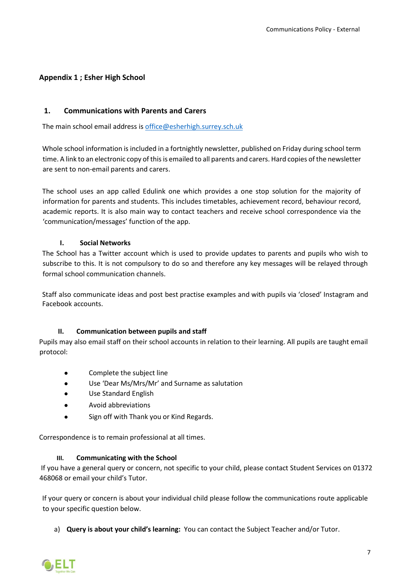## <span id="page-7-0"></span>**Appendix 1 ; Esher High School**

#### **1. Communications with Parents and Carers**

The main school email address is [office@esherhigh.surrey.sch.uk](mailto:office@esherhigh.surrey.sch.uk)

Whole school information is included in a fortnightly newsletter, published on Friday during school term time. A link to an electronic copy of this is emailed to all parents and carers. Hard copies of the newsletter are sent to non-email parents and carers.

The school uses an app called Edulink one which provides a one stop solution for the majority of information for parents and students. This includes timetables, achievement record, behaviour record, academic reports. It is also main way to contact teachers and receive school correspondence via the 'communication/messages' function of the app.

#### **I. Social Networks**

The School has a Twitter account which is used to provide updates to parents and pupils who wish to subscribe to this. It is not compulsory to do so and therefore any key messages will be relayed through formal school communication channels.

Staff also communicate ideas and post best practise examples and with pupils via 'closed' Instagram and Facebook accounts.

#### **II. Communication between pupils and staff**

Pupils may also email staff on their school accounts in relation to their learning. All pupils are taught email protocol:

- Complete the subject line
- Use 'Dear Ms/Mrs/Mr' and Surname as salutation
- Use Standard English
- Avoid abbreviations
- Sign off with Thank you or Kind Regards.

Correspondence is to remain professional at all times.

#### **III. Communicating with the School**

If you have a general query or concern, not specific to your child, please contact Student Services on 01372 468068 or email your child's Tutor.

If your query or concern is about your individual child please follow the communications route applicable to your specific question below.

a) **Query is about your child's learning:** You can contact the Subject Teacher and/or Tutor.

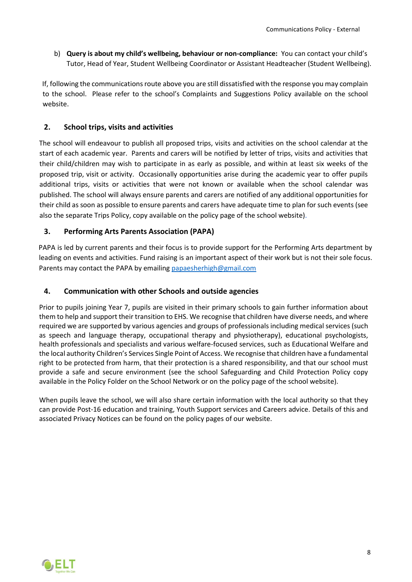b) **Query is about my child's wellbeing, behaviour or non-compliance:** You can contact your child's Tutor, Head of Year, Student Wellbeing Coordinator or Assistant Headteacher (Student Wellbeing).

If, following the communications route above you are still dissatisfied with the response you may complain to the school. Please refer to the school's Complaints and Suggestions Policy available on the school website.

## **2. School trips, visits and activities**

The school will endeavour to publish all proposed trips, visits and activities on the school calendar at the start of each academic year. Parents and carers will be notified by letter of trips, visits and activities that their child/children may wish to participate in as early as possible, and within at least six weeks of the proposed trip, visit or activity. Occasionally opportunities arise during the academic year to offer pupils additional trips, visits or activities that were not known or available when the school calendar was published. The school will always ensure parents and carers are notified of any additional opportunities for their child as soon as possible to ensure parents and carers have adequate time to plan for such events (see also the separate Trips Policy, copy available on the policy page of the school website).

## **3. Performing Arts Parents Association (PAPA)**

PAPA is led by current parents and their focus is to provide support for the Performing Arts department by leading on events and activities. Fund raising is an important aspect of their work but is not their sole focus. Parents may contact the PAPA by emailing [papaesherhigh@gmail.com](https://esherlearningtrust.sharepoint.com/sites/EsherLearningTrust/Shared%20Documents/General/Communications/papaesherhigh@gmail.com)

#### **4. Communication with other Schools and outside agencies**

Prior to pupils joining Year 7, pupils are visited in their primary schools to gain further information about them to help and support their transition to EHS. We recognise that children have diverse needs, and where required we are supported by various agencies and groups of professionals including medical services (such as speech and language therapy, occupational therapy and physiotherapy), educational psychologists, health professionals and specialists and various welfare-focused services, such as Educational Welfare and the local authority Children's Services Single Point of Access. We recognise that children have a fundamental right to be protected from harm, that their protection is a shared responsibility, and that our school must provide a safe and secure environment (see the school Safeguarding and Child Protection Policy copy available in the Policy Folder on the School Network or on the policy page of the school website).

When pupils leave the school, we will also share certain information with the local authority so that they can provide Post-16 education and training, Youth Support services and Careers advice. Details of this and associated Privacy Notices can be found on the policy pages of our website.

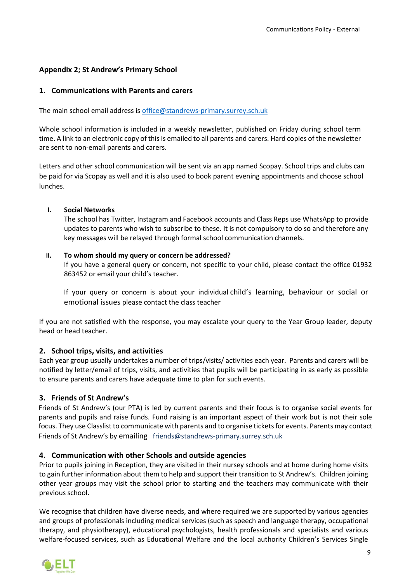## <span id="page-9-0"></span>**Appendix 2; St Andrew's Primary School**

#### **1. Communications with Parents and carers**

The main school email address is [office@standrews-primary.surrey.sch.uk](mailto:office@standrews-primary.surrey.sch.uk)

Whole school information is included in a weekly newsletter, published on Friday during school term time. A link to an electronic copy of this is emailed to all parents and carers. Hard copies of the newsletter are sent to non-email parents and carers.

Letters and other school communication will be sent via an app named Scopay. School trips and clubs can be paid for via Scopay as well and it is also used to book parent evening appointments and choose school lunches.

#### **I. Social Networks**

The school has Twitter, Instagram and Facebook accounts and Class Reps use WhatsApp to provide updates to parents who wish to subscribe to these. It is not compulsory to do so and therefore any key messages will be relayed through formal school communication channels.

#### **II. To whom should my query or concern be addressed?**

If you have a general query or concern, not specific to your child, please contact the office 01932 863452 or email your child's teacher.

If your query or concern is about your individual child's learning, behaviour or social or emotional issues please contact the class teacher

If you are not satisfied with the response, you may escalate your query to the Year Group leader, deputy head or head teacher.

#### **2. School trips, visits, and activities**

Each year group usually undertakes a number of trips/visits/ activities each year. Parents and carers will be notified by letter/email of trips, visits, and activities that pupils will be participating in as early as possible to ensure parents and carers have adequate time to plan for such events.

#### **3. Friends of St Andrew's**

Friends of St Andrew's (our PTA) is led by current parents and their focus is to organise social events for parents and pupils and raise funds. Fund raising is an important aspect of their work but is not their sole focus. They use Classlist to communicate with parents and to organise tickets for events. Parents may contact Friends of St Andrew's by emailing friends@standrews-primary.surrey.sch.uk

#### **4. Communication with other Schools and outside agencies**

Prior to pupils joining in Reception, they are visited in their nursey schools and at home during home visits to gain further information about them to help and support their transition to St Andrew's. Children joining other year groups may visit the school prior to starting and the teachers may communicate with their previous school.

We recognise that children have diverse needs, and where required we are supported by various agencies and groups of professionals including medical services (such as speech and language therapy, occupational therapy, and physiotherapy), educational psychologists, health professionals and specialists and various welfare-focused services, such as Educational Welfare and the local authority Children's Services Single